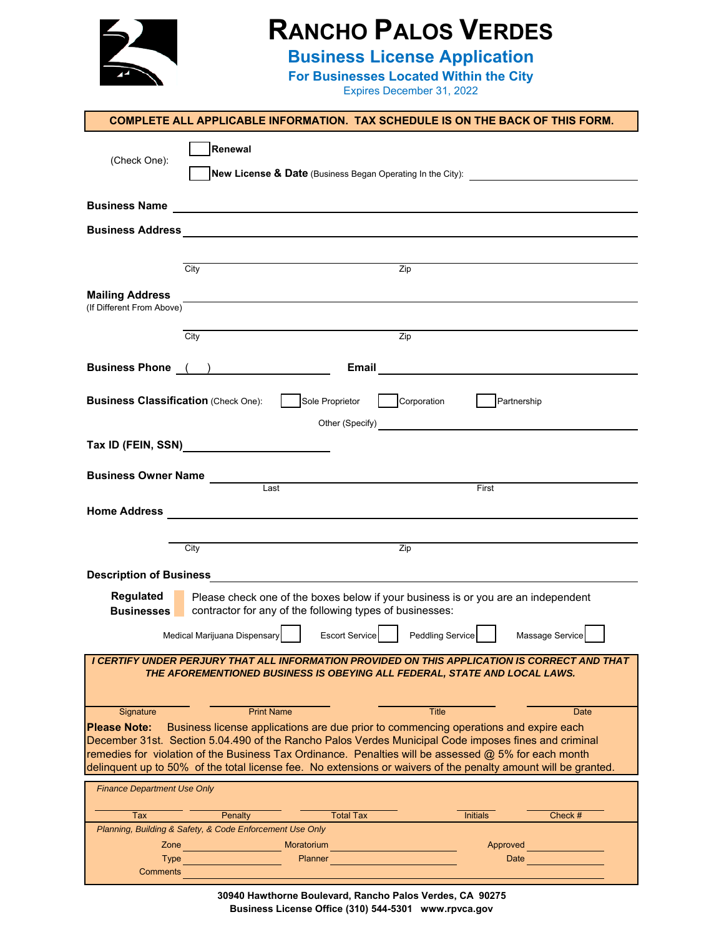

## **RANCHO PALOS VERDES**

**Business License Application**

**For Businesses Located Within the City**

Expires December 31, 2022

|                                             | <b>COMPLETE ALL APPLICABLE INFORMATION. TAX SCHEDULE IS ON THE BACK OF THIS FORM.</b>                                                                                                                        |
|---------------------------------------------|--------------------------------------------------------------------------------------------------------------------------------------------------------------------------------------------------------------|
|                                             | Renewal                                                                                                                                                                                                      |
| (Check One):                                | New License & Date (Business Began Operating In the City):                                                                                                                                                   |
|                                             |                                                                                                                                                                                                              |
|                                             |                                                                                                                                                                                                              |
|                                             |                                                                                                                                                                                                              |
|                                             | Zip<br>$\overline{City}$                                                                                                                                                                                     |
| <b>Mailing Address</b>                      |                                                                                                                                                                                                              |
| (If Different From Above)                   |                                                                                                                                                                                                              |
|                                             | City<br>Zip                                                                                                                                                                                                  |
|                                             | <b>Business Phone (iii)</b><br>Email<br><u> 1989 - Johann Harry Harry Harry Harry Harry Harry Harry Harry Harry Harry Harry Harry Harry Harry Harry Harry</u>                                                |
|                                             |                                                                                                                                                                                                              |
| <b>Business Classification (Check One):</b> | Sole Proprietor<br>Corporation<br>$\Gamma$ Partnership                                                                                                                                                       |
|                                             |                                                                                                                                                                                                              |
|                                             | Tax ID (FEIN, SSN)                                                                                                                                                                                           |
|                                             | <b>Business Owner Name</b><br>Last                                                                                                                                                                           |
|                                             | First                                                                                                                                                                                                        |
| <b>Home Address</b>                         | <u> 1989 - Johann John Stein, markin fizik eta idazlea (</u>                                                                                                                                                 |
|                                             | Zip<br>City                                                                                                                                                                                                  |
|                                             |                                                                                                                                                                                                              |
| <b>Description of Business</b>              | <u> 1989 - Johann Barbara, martxa eta batarra (h. 1989).</u>                                                                                                                                                 |
| Regulated<br><b>Businesses</b>              | Please check one of the boxes below if your business is or you are an independent<br>contractor for any of the following types of businesses:                                                                |
|                                             | Peddling Service<br>Medical Marijuana Dispensary<br><b>Escort Service</b><br>Massage Service                                                                                                                 |
|                                             | I CERTIFY UNDER PERJURY THAT ALL INFORMATION PROVIDED ON THIS APPLICATION IS CORRECT AND THAT                                                                                                                |
|                                             | THE AFOREMENTIONED BUSINESS IS OBEYING ALL FEDERAL, STATE AND LOCAL LAWS.                                                                                                                                    |
| Signature                                   | <b>Print Name</b><br><b>Title</b><br>Date                                                                                                                                                                    |
| <b>Please Note:</b>                         | Business license applications are due prior to commencing operations and expire each                                                                                                                         |
|                                             | December 31st. Section 5.04.490 of the Rancho Palos Verdes Municipal Code imposes fines and criminal<br>remedies for violation of the Business Tax Ordinance. Penalties will be assessed @ 5% for each month |
|                                             | delinquent up to 50% of the total license fee. No extensions or waivers of the penalty amount will be granted.                                                                                               |
| <b>Finance Department Use Only</b>          |                                                                                                                                                                                                              |
| Tax                                         | Check #<br>Penalty<br><b>Total Tax</b><br><b>Initials</b>                                                                                                                                                    |
| Zone                                        | Planning, Building & Safety, & Code Enforcement Use Only<br>Moratorium<br>Approved                                                                                                                           |
| Type                                        | <b>Planner</b><br>Date                                                                                                                                                                                       |
| Comments                                    |                                                                                                                                                                                                              |